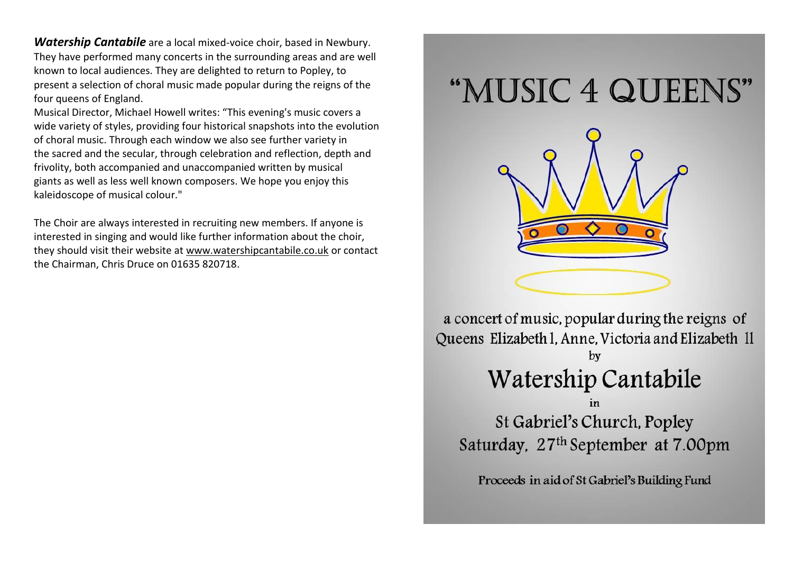*Watership Cantabile* are a local mixed-voice choir, based in Newbury. They have performed many concerts in the surrounding areas and are well known to local audiences. They are delighted to return to Popley, to present a selection of choral music made popular during the reigns of the four queens of England.

Musical Director, Michael Howell writes: "This evening's music covers a wide variety of styles, providing four historical snapshots into the evolution of choral music. Through each window we also see further variety in the sacred and the secular, through celebration and reflection, depth and frivolity, both accompanied and unaccompanied written by musical giants as well as less well known composers. We hope you enjoy this kaleidoscope of musical colour."

The Choir are always interested in recruiting new members. If anyone is interested in singing and would like further information about the choir, they should visit their website at [www.watershipcantabile.co.uk](http://www.watershipcantabile.co.uk/) or contact the Chairman, Chris Druce on 01635 820718.



a concert of music, popular during the reigns of Queens Elizabeth I, Anne, Victoria and Elizabeth II by Watership Cantabile St Gabriel's Church, Popley

Saturday, 27<sup>th</sup> September at 7.00pm

Proceeds in aid of St Gabriel's Building Fund